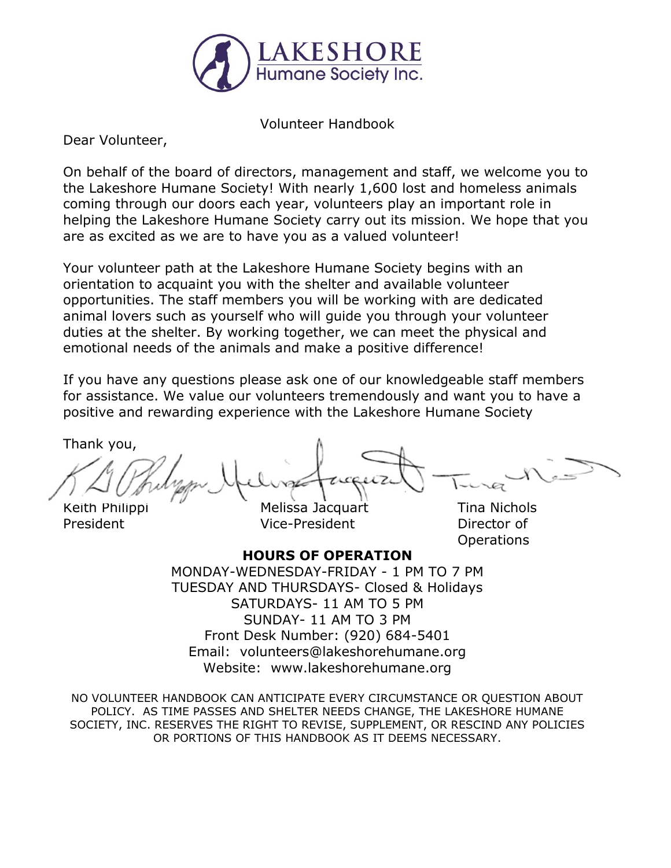

Volunteer Handbook

Dear Volunteer,

On behalf of the board of directors, management and staff, we welcome you to the Lakeshore Humane Society! With nearly 1,600 lost and homeless animals coming through our doors each year, volunteers play an important role in helping the Lakeshore Humane Society carry out its mission. We hope that you are as excited as we are to have you as a valued volunteer!

Your volunteer path at the Lakeshore Humane Society begins with an orientation to acquaint you with the shelter and available volunteer opportunities. The staff members you will be working with are dedicated animal lovers such as yourself who will guide you through your volunteer duties at the shelter. By working together, we can meet the physical and emotional needs of the animals and make a positive difference!

If you have any questions please ask one of our knowledgeable staff members for assistance. We value our volunteers tremendously and want you to have a positive and rewarding experience with the Lakeshore Humane Society

Thank you, Keith Philippi **Melissa Jacquart** Tina Nichols

President Vice-President Director of

Operations

**HOURS OF OPERATION**

MONDAY-WEDNESDAY-FRIDAY - 1 PM TO 7 PM TUESDAY AND THURSDAYS- Closed & Holidays SATURDAYS- 11 AM TO 5 PM SUNDAY- 11 AM TO 3 PM Front Desk Number: (920) 684-5401 Email: volunteers@lakeshorehumane.org Website: www.lakeshorehumane.org

NO VOLUNTEER HANDBOOK CAN ANTICIPATE EVERY CIRCUMSTANCE OR QUESTION ABOUT POLICY. AS TIME PASSES AND SHELTER NEEDS CHANGE, THE LAKESHORE HUMANE SOCIETY, INC. RESERVES THE RIGHT TO REVISE, SUPPLEMENT, OR RESCIND ANY POLICIES OR PORTIONS OF THIS HANDBOOK AS IT DEEMS NECESSARY.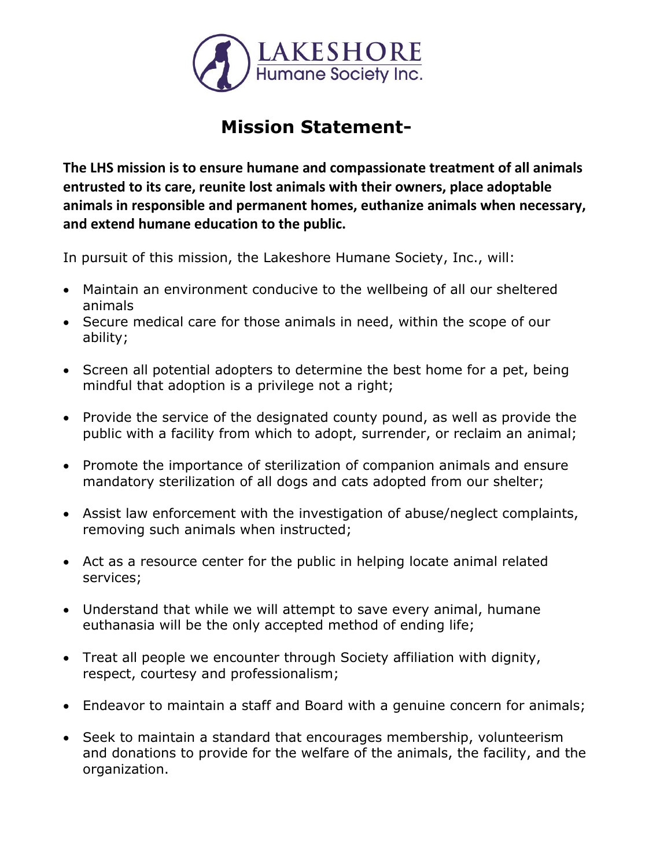

## **Mission Statement-**

**The LHS mission is to ensure humane and compassionate treatment of all animals entrusted to its care, reunite lost animals with their owners, place adoptable animals in responsible and permanent homes, euthanize animals when necessary, and extend humane education to the public.**

In pursuit of this mission, the Lakeshore Humane Society, Inc., will:

- Maintain an environment conducive to the wellbeing of all our sheltered animals
- Secure medical care for those animals in need, within the scope of our ability;
- Screen all potential adopters to determine the best home for a pet, being mindful that adoption is a privilege not a right;
- Provide the service of the designated county pound, as well as provide the public with a facility from which to adopt, surrender, or reclaim an animal;
- Promote the importance of sterilization of companion animals and ensure mandatory sterilization of all dogs and cats adopted from our shelter;
- Assist law enforcement with the investigation of abuse/neglect complaints, removing such animals when instructed;
- Act as a resource center for the public in helping locate animal related services;
- Understand that while we will attempt to save every animal, humane euthanasia will be the only accepted method of ending life;
- Treat all people we encounter through Society affiliation with dignity, respect, courtesy and professionalism;
- Endeavor to maintain a staff and Board with a genuine concern for animals;
- Seek to maintain a standard that encourages membership, volunteerism and donations to provide for the welfare of the animals, the facility, and the organization.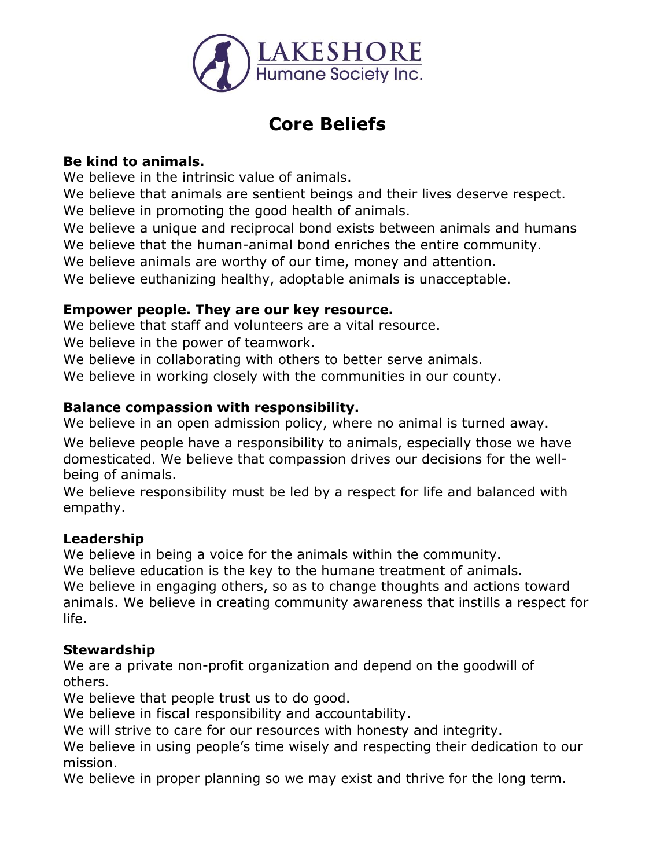

# **Core Beliefs**

#### **Be kind to animals.**

We believe in the intrinsic value of animals.

We believe that animals are sentient beings and their lives deserve respect. We believe in promoting the good health of animals.

We believe a unique and reciprocal bond exists between animals and humans We believe that the human-animal bond enriches the entire community.

We believe animals are worthy of our time, money and attention.

We believe euthanizing healthy, adoptable animals is unacceptable.

#### **Empower people. They are our key resource.**

We believe that staff and volunteers are a vital resource.

We believe in the power of teamwork.

We believe in collaborating with others to better serve animals.

We believe in working closely with the communities in our county.

#### **Balance compassion with responsibility.**

We believe in an open admission policy, where no animal is turned away.

We believe people have a responsibility to animals, especially those we have domesticated. We believe that compassion drives our decisions for the wellbeing of animals.

We believe responsibility must be led by a respect for life and balanced with empathy.

### **Leadership**

We believe in being a voice for the animals within the community.

We believe education is the key to the humane treatment of animals. We believe in engaging others, so as to change thoughts and actions toward animals. We believe in creating community awareness that instills a respect for life.

### **Stewardship**

We are a private non-profit organization and depend on the goodwill of others.

We believe that people trust us to do good.

We believe in fiscal responsibility and accountability.

We will strive to care for our resources with honesty and integrity.

We believe in using people's time wisely and respecting their dedication to our mission.

We believe in proper planning so we may exist and thrive for the long term.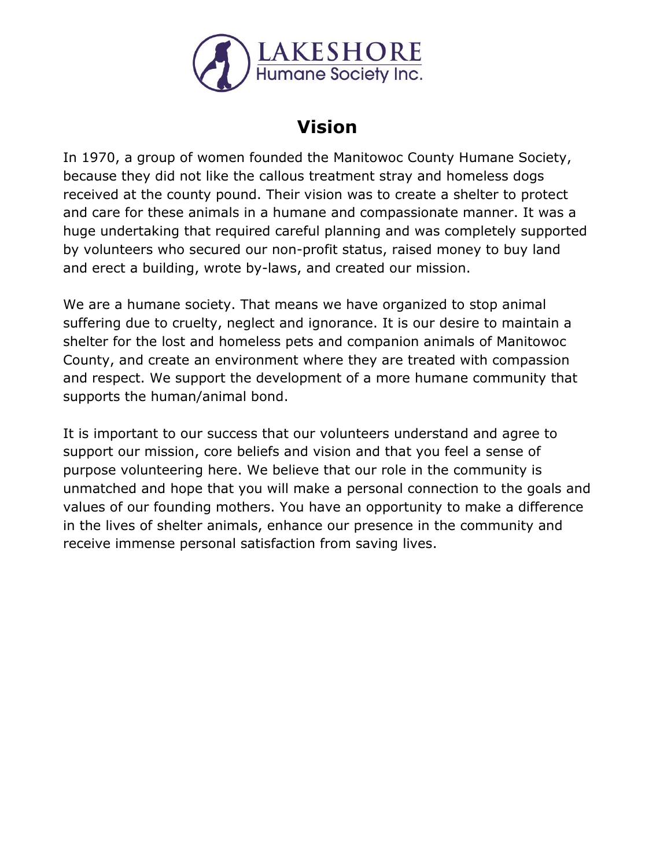

# **Vision**

In 1970, a group of women founded the Manitowoc County Humane Society, because they did not like the callous treatment stray and homeless dogs received at the county pound. Their vision was to create a shelter to protect and care for these animals in a humane and compassionate manner. It was a huge undertaking that required careful planning and was completely supported by volunteers who secured our non-profit status, raised money to buy land and erect a building, wrote by-laws, and created our mission.

We are a humane society. That means we have organized to stop animal suffering due to cruelty, neglect and ignorance. It is our desire to maintain a shelter for the lost and homeless pets and companion animals of Manitowoc County, and create an environment where they are treated with compassion and respect. We support the development of a more humane community that supports the human/animal bond.

It is important to our success that our volunteers understand and agree to support our mission, core beliefs and vision and that you feel a sense of purpose volunteering here. We believe that our role in the community is unmatched and hope that you will make a personal connection to the goals and values of our founding mothers. You have an opportunity to make a difference in the lives of shelter animals, enhance our presence in the community and receive immense personal satisfaction from saving lives.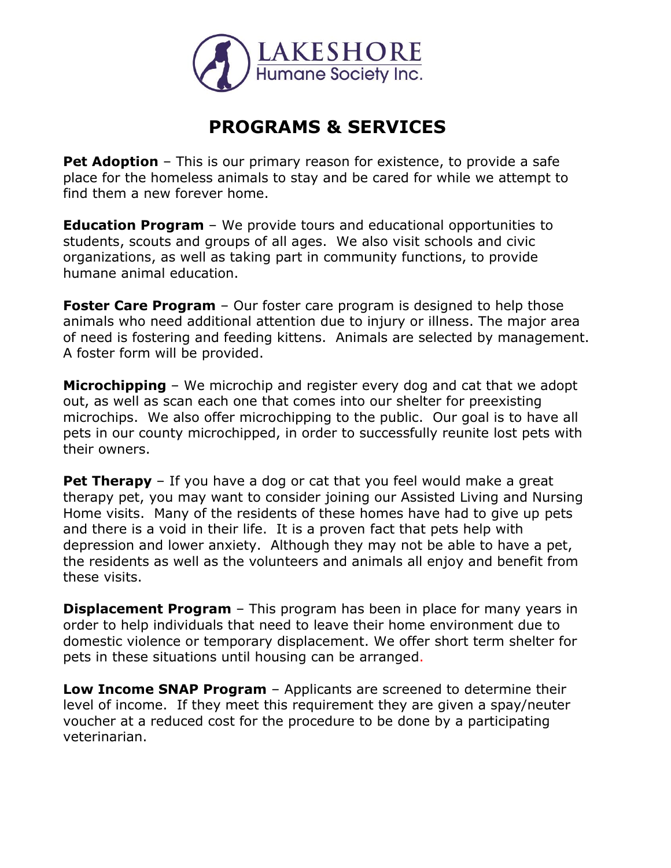

## **PROGRAMS & SERVICES**

**Pet Adoption** – This is our primary reason for existence, to provide a safe place for the homeless animals to stay and be cared for while we attempt to find them a new forever home.

**Education Program** – We provide tours and educational opportunities to students, scouts and groups of all ages. We also visit schools and civic organizations, as well as taking part in community functions, to provide humane animal education.

**Foster Care Program** – Our foster care program is designed to help those animals who need additional attention due to injury or illness. The major area of need is fostering and feeding kittens. Animals are selected by management. A foster form will be provided.

**Microchipping** – We microchip and register every dog and cat that we adopt out, as well as scan each one that comes into our shelter for preexisting microchips. We also offer microchipping to the public. Our goal is to have all pets in our county microchipped, in order to successfully reunite lost pets with their owners.

**Pet Therapy** – If you have a dog or cat that you feel would make a great therapy pet, you may want to consider joining our Assisted Living and Nursing Home visits. Many of the residents of these homes have had to give up pets and there is a void in their life. It is a proven fact that pets help with depression and lower anxiety. Although they may not be able to have a pet, the residents as well as the volunteers and animals all enjoy and benefit from these visits.

**Displacement Program** – This program has been in place for many years in order to help individuals that need to leave their home environment due to domestic violence or temporary displacement. We offer short term shelter for pets in these situations until housing can be arranged.

**Low Income SNAP Program** – Applicants are screened to determine their level of income. If they meet this requirement they are given a spay/neuter voucher at a reduced cost for the procedure to be done by a participating veterinarian.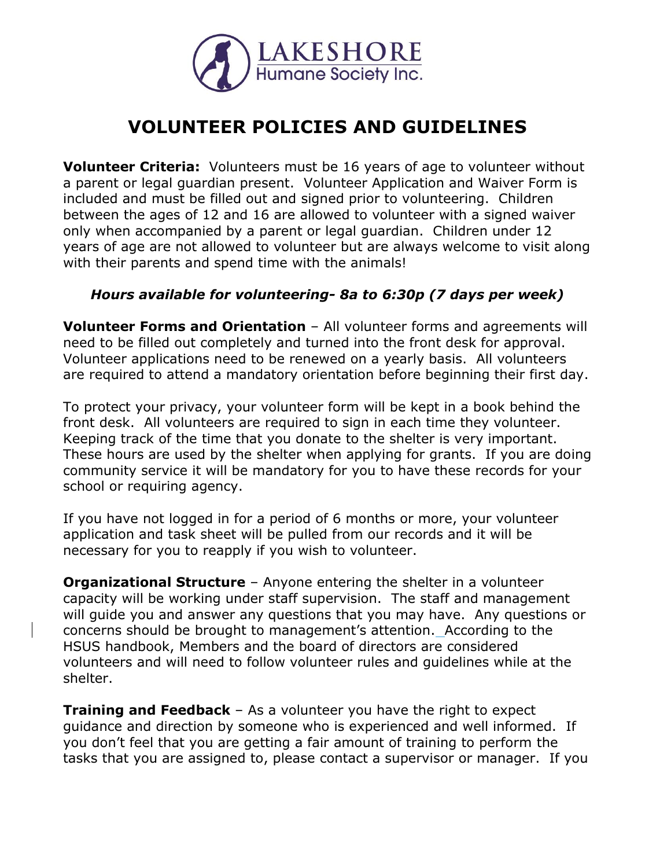

**Volunteer Criteria:** Volunteers must be 16 years of age to volunteer without a parent or legal guardian present. Volunteer Application and Waiver Form is included and must be filled out and signed prior to volunteering. Children between the ages of 12 and 16 are allowed to volunteer with a signed waiver only when accompanied by a parent or legal guardian. Children under 12 years of age are not allowed to volunteer but are always welcome to visit along with their parents and spend time with the animals!

#### *Hours available for volunteering- 8a to 6:30p (7 days per week)*

**Volunteer Forms and Orientation** – All volunteer forms and agreements will need to be filled out completely and turned into the front desk for approval. Volunteer applications need to be renewed on a yearly basis. All volunteers are required to attend a mandatory orientation before beginning their first day.

To protect your privacy, your volunteer form will be kept in a book behind the front desk. All volunteers are required to sign in each time they volunteer. Keeping track of the time that you donate to the shelter is very important. These hours are used by the shelter when applying for grants. If you are doing community service it will be mandatory for you to have these records for your school or requiring agency.

If you have not logged in for a period of 6 months or more, your volunteer application and task sheet will be pulled from our records and it will be necessary for you to reapply if you wish to volunteer.

**Organizational Structure** – Anyone entering the shelter in a volunteer capacity will be working under staff supervision. The staff and management will guide you and answer any questions that you may have. Any questions or concerns should be brought to management's attention. According to the HSUS handbook, Members and the board of directors are considered volunteers and will need to follow volunteer rules and guidelines while at the shelter.

**Training and Feedback** – As a volunteer you have the right to expect guidance and direction by someone who is experienced and well informed. If you don't feel that you are getting a fair amount of training to perform the tasks that you are assigned to, please contact a supervisor or manager. If you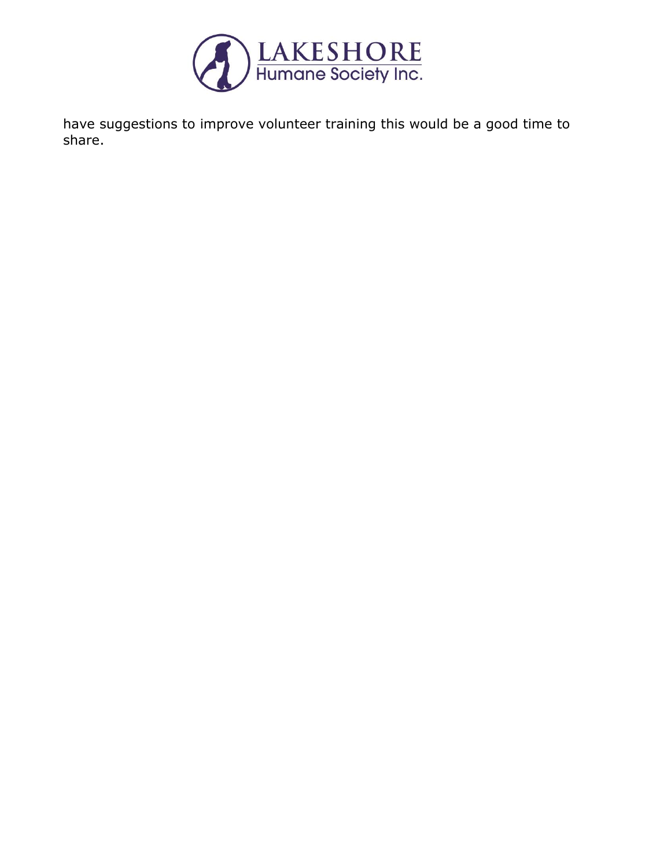

have suggestions to improve volunteer training this would be a good time to share.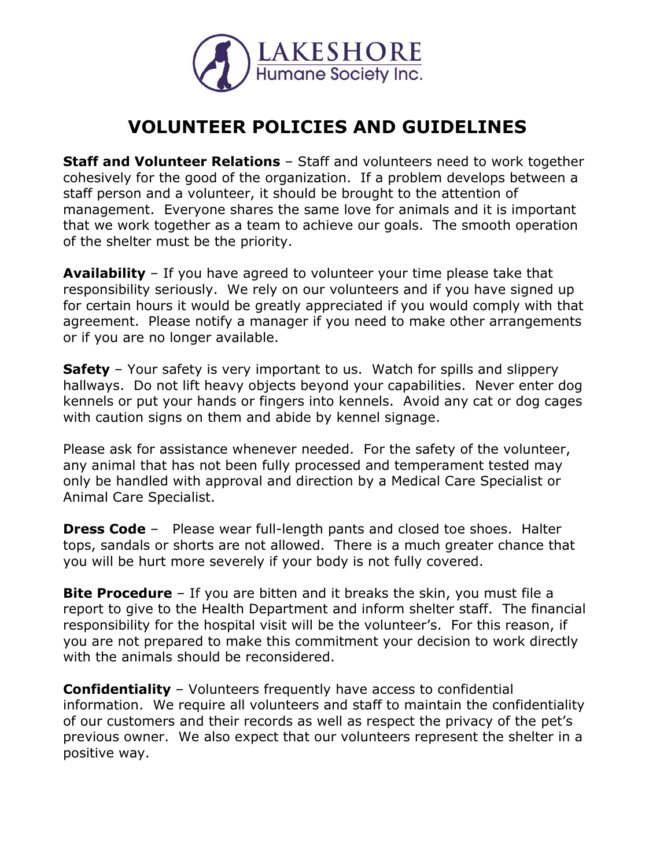

**Staff and Volunteer Relations** – Staff and volunteers need to work together cohesively for the good of the organization. If a problem develops between a staff person and a volunteer, it should be brought to the attention of management. Everyone shares the same love for animals and it is important that we work together as a team to achieve our goals. The smooth operation of the shelter must be the priority.

**Availability** – If you have agreed to volunteer your time please take that responsibility seriously. We rely on our volunteers and if you have signed up for certain hours it would be greatly appreciated if you would comply with that agreement. Please notify a manager if you need to make other arrangements or if you are no longer available.

**Safety** – Your safety is very important to us. Watch for spills and slippery hallways. Do not lift heavy objects beyond your capabilities. Never enter dog kennels or put your hands or fingers into kennels. Avoid any cat or dog cages with caution signs on them and abide by kennel signage.

Please ask for assistance whenever needed. For the safety of the volunteer, any animal that has not been fully processed and temperament tested may only be handled with approval and direction by a Medical Care Specialist or Animal Care Specialist.

**Dress Code** – Please wear full-length pants and closed toe shoes. Halter tops, sandals or shorts are not allowed. There is a much greater chance that you will be hurt more severely if your body is not fully covered.

**Bite Procedure** – If you are bitten and it breaks the skin, you must file a report to give to the Health Department and inform shelter staff. The financial responsibility for the hospital visit will be the volunteer's. For this reason, if you are not prepared to make this commitment your decision to work directly with the animals should be reconsidered.

**Confidentiality** – Volunteers frequently have access to confidential information. We require all volunteers and staff to maintain the confidentiality of our customers and their records as well as respect the privacy of the pet's previous owner. We also expect that our volunteers represent the shelter in a positive way.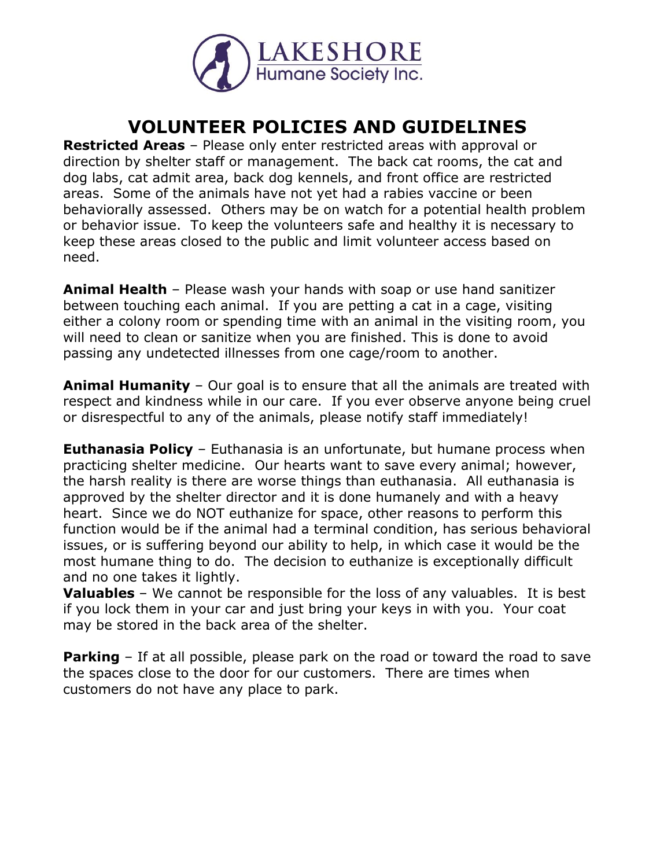

**Restricted Areas** – Please only enter restricted areas with approval or direction by shelter staff or management. The back cat rooms, the cat and dog labs, cat admit area, back dog kennels, and front office are restricted areas. Some of the animals have not yet had a rabies vaccine or been behaviorally assessed. Others may be on watch for a potential health problem or behavior issue. To keep the volunteers safe and healthy it is necessary to keep these areas closed to the public and limit volunteer access based on need.

**Animal Health** – Please wash your hands with soap or use hand sanitizer between touching each animal. If you are petting a cat in a cage, visiting either a colony room or spending time with an animal in the visiting room, you will need to clean or sanitize when you are finished. This is done to avoid passing any undetected illnesses from one cage/room to another.

**Animal Humanity** – Our goal is to ensure that all the animals are treated with respect and kindness while in our care. If you ever observe anyone being cruel or disrespectful to any of the animals, please notify staff immediately!

**Euthanasia Policy** – Euthanasia is an unfortunate, but humane process when practicing shelter medicine. Our hearts want to save every animal; however, the harsh reality is there are worse things than euthanasia. All euthanasia is approved by the shelter director and it is done humanely and with a heavy heart. Since we do NOT euthanize for space, other reasons to perform this function would be if the animal had a terminal condition, has serious behavioral issues, or is suffering beyond our ability to help, in which case it would be the most humane thing to do. The decision to euthanize is exceptionally difficult and no one takes it lightly.

**Valuables** – We cannot be responsible for the loss of any valuables. It is best if you lock them in your car and just bring your keys in with you. Your coat may be stored in the back area of the shelter.

**Parking** – If at all possible, please park on the road or toward the road to save the spaces close to the door for our customers. There are times when customers do not have any place to park.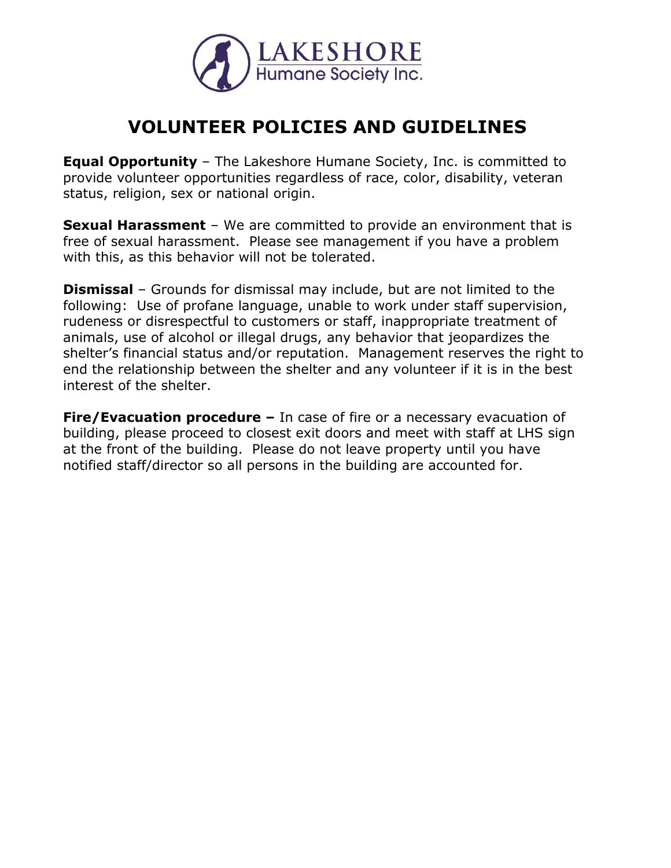

**Equal Opportunity** – The Lakeshore Humane Society, Inc. is committed to provide volunteer opportunities regardless of race, color, disability, veteran status, religion, sex or national origin.

**Sexual Harassment** – We are committed to provide an environment that is free of sexual harassment. Please see management if you have a problem with this, as this behavior will not be tolerated.

**Dismissal** – Grounds for dismissal may include, but are not limited to the following: Use of profane language, unable to work under staff supervision, rudeness or disrespectful to customers or staff, inappropriate treatment of animals, use of alcohol or illegal drugs, any behavior that jeopardizes the shelter's financial status and/or reputation. Management reserves the right to end the relationship between the shelter and any volunteer if it is in the best interest of the shelter.

**Fire/Evacuation procedure –** In case of fire or a necessary evacuation of building, please proceed to closest exit doors and meet with staff at LHS sign at the front of the building. Please do not leave property until you have notified staff/director so all persons in the building are accounted for.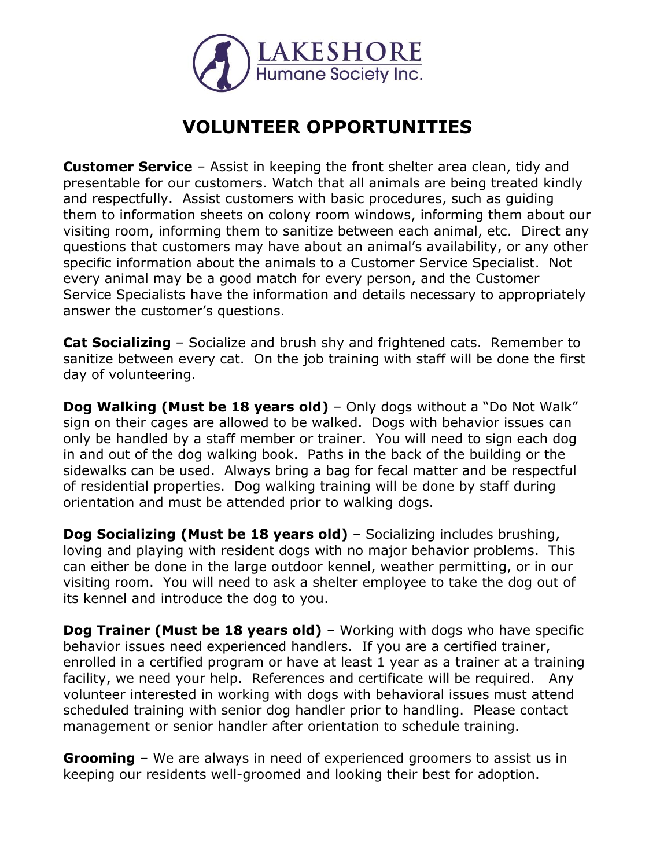

# **VOLUNTEER OPPORTUNITIES**

**Customer Service** – Assist in keeping the front shelter area clean, tidy and presentable for our customers. Watch that all animals are being treated kindly and respectfully. Assist customers with basic procedures, such as guiding them to information sheets on colony room windows, informing them about our visiting room, informing them to sanitize between each animal, etc. Direct any questions that customers may have about an animal's availability, or any other specific information about the animals to a Customer Service Specialist. Not every animal may be a good match for every person, and the Customer Service Specialists have the information and details necessary to appropriately answer the customer's questions.

**Cat Socializing** – Socialize and brush shy and frightened cats. Remember to sanitize between every cat. On the job training with staff will be done the first day of volunteering.

**Dog Walking (Must be 18 years old)** – Only dogs without a "Do Not Walk" sign on their cages are allowed to be walked. Dogs with behavior issues can only be handled by a staff member or trainer. You will need to sign each dog in and out of the dog walking book. Paths in the back of the building or the sidewalks can be used.Always bring a bag for fecal matter and be respectful of residential properties. Dog walking training will be done by staff during orientation and must be attended prior to walking dogs.

**Dog Socializing (Must be 18 years old)** – Socializing includes brushing, loving and playing with resident dogs with no major behavior problems. This can either be done in the large outdoor kennel, weather permitting, or in our visiting room. You will need to ask a shelter employee to take the dog out of its kennel and introduce the dog to you.

**Dog Trainer (Must be 18 years old)** – Working with dogs who have specific behavior issues need experienced handlers. If you are a certified trainer, enrolled in a certified program or have at least 1 year as a trainer at a training facility, we need your help. References and certificate will be required. Any volunteer interested in working with dogs with behavioral issues must attend scheduled training with senior dog handler prior to handling. Please contact management or senior handler after orientation to schedule training.

**Grooming** – We are always in need of experienced groomers to assist us in keeping our residents well-groomed and looking their best for adoption.